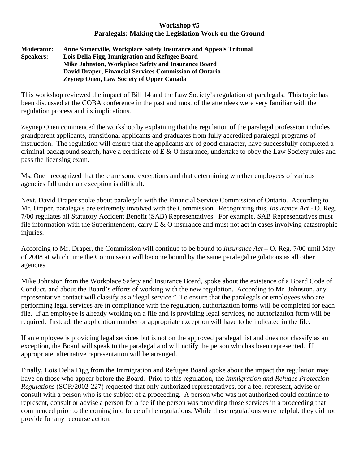## **Workshop #5 Paralegals: Making the Legislation Work on the Ground**

## **Moderator: Anne Somerville, Workplace Safety Insurance and Appeals Tribunal Speakers: Lois Delia Figg, Immigration and Refugee Board Mike Johnston, Workplace Safety and Insurance Board David Draper, Financial Services Commission of Ontario Zeynep Onen, Law Society of Upper Canada**

This workshop reviewed the impact of Bill 14 and the Law Society's regulation of paralegals. This topic has been discussed at the COBA conference in the past and most of the attendees were very familiar with the regulation process and its implications.

Zeynep Onen commenced the workshop by explaining that the regulation of the paralegal profession includes grandparent applicants, transitional applicants and graduates from fully accredited paralegal programs of instruction. The regulation will ensure that the applicants are of good character, have successfully completed a criminal background search, have a certificate of E & O insurance, undertake to obey the Law Society rules and pass the licensing exam.

Ms. Onen recognized that there are some exceptions and that determining whether employees of various agencies fall under an exception is difficult.

Next, David Draper spoke about paralegals with the Financial Service Commission of Ontario. According to Mr. Draper, paralegals are extremely involved with the Commission. Recognizing this, *Insurance Act* - O. Reg. 7/00 regulates all Statutory Accident Benefit (SAB) Representatives. For example, SAB Representatives must file information with the Superintendent, carry  $E \& O$  insurance and must not act in cases involving catastrophic injuries.

According to Mr. Draper, the Commission will continue to be bound to *Insurance Act* – O. Reg. 7/00 until May of 2008 at which time the Commission will become bound by the same paralegal regulations as all other agencies.

Mike Johnston from the Workplace Safety and Insurance Board, spoke about the existence of a Board Code of Conduct, and about the Board's efforts of working with the new regulation. According to Mr. Johnston, any representative contact will classify as a "legal service." To ensure that the paralegals or employees who are performing legal services are in compliance with the regulation, authorization forms will be completed for each file. If an employee is already working on a file and is providing legal services, no authorization form will be required. Instead, the application number or appropriate exception will have to be indicated in the file.

If an employee is providing legal services but is not on the approved paralegal list and does not classify as an exception, the Board will speak to the paralegal and will notify the person who has been represented. If appropriate, alternative representation will be arranged.

Finally, Lois Delia Figg from the Immigration and Refugee Board spoke about the impact the regulation may have on those who appear before the Board. Prior to this regulation, the *Immigration and Refugee Protection Regulations* (SOR/2002-227) requested that only authorized representatives, for a fee, represent, advise or consult with a person who is the subject of a proceeding. A person who was not authorized could continue to represent, consult or advise a person for a fee if the person was providing those services in a proceeding that commenced prior to the coming into force of the regulations. While these regulations were helpful, they did not provide for any recourse action.